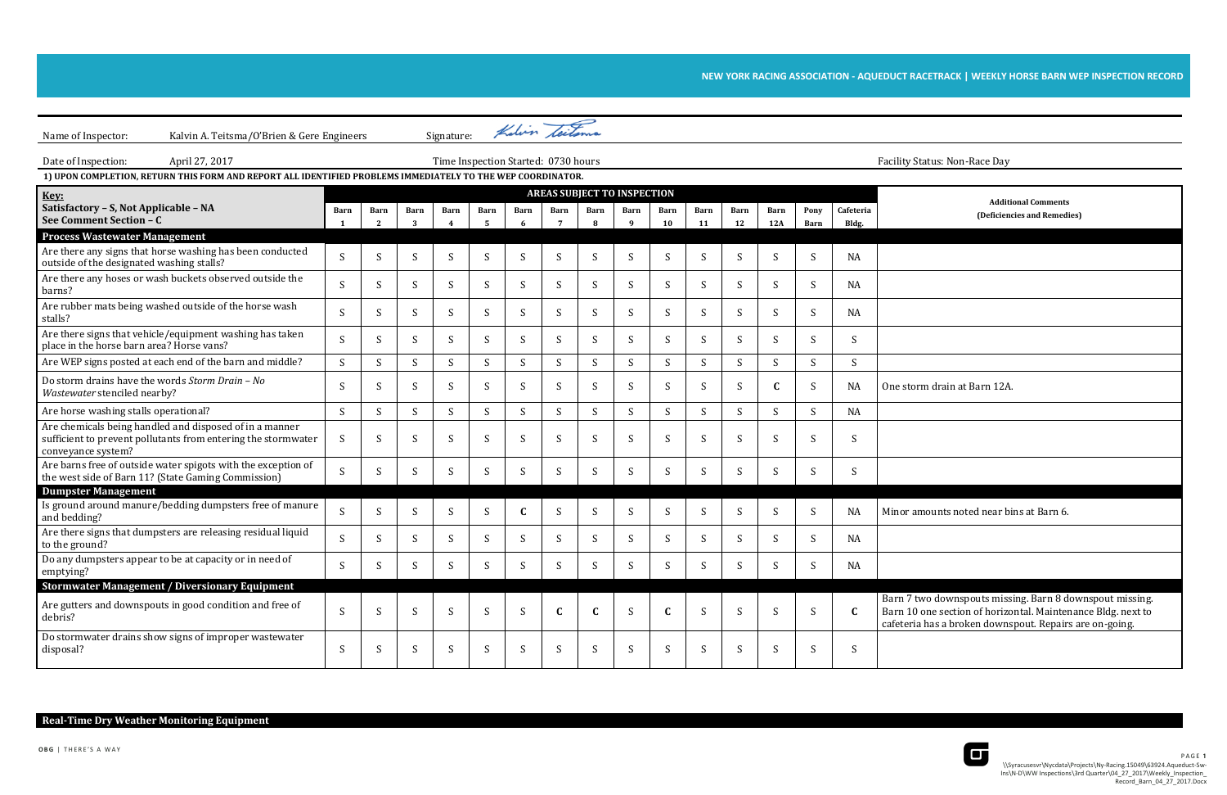## **NEW YORK RACING ASSOCIATION - AQUEDUCT RACETRACK | WEEKLY HORSE BARN WEP INSPECTION RECORD**

**Additional Comments (Deficiencies and Remedies)**

nor amounts noted near bins at Barn 6.

rn 7 two downspouts missing. Barn 8 downspout missing. rn 10 one section of horizontal. Maintenance Bldg. next to eteria has a broken downspout. Repairs are on-going.



| Kalvin A. Teitsma/O'Brien & Gere Engineers<br>Name of Inspector:                                                                               |              |              |                  | Signature:                          |                  | Kalvin teitema |           |                                    |                             |              |                   |                   |                    |                     |                    |                                                                                             |
|------------------------------------------------------------------------------------------------------------------------------------------------|--------------|--------------|------------------|-------------------------------------|------------------|----------------|-----------|------------------------------------|-----------------------------|--------------|-------------------|-------------------|--------------------|---------------------|--------------------|---------------------------------------------------------------------------------------------|
| Date of Inspection:<br>April 27, 2017                                                                                                          |              |              |                  | Time Inspection Started: 0730 hours |                  |                |           |                                    |                             |              |                   |                   |                    |                     |                    | Facility Status: Non-Race Day                                                               |
| 1) UPON COMPLETION, RETURN THIS FORM AND REPORT ALL IDENTIFIED PROBLEMS IMMEDIATELY TO THE WEP COORDINATOR.                                    |              |              |                  |                                     |                  |                |           |                                    |                             |              |                   |                   |                    |                     |                    |                                                                                             |
| Key:                                                                                                                                           |              |              |                  |                                     |                  |                |           | <b>AREAS SUBJECT TO INSPECTION</b> |                             |              |                   |                   |                    |                     |                    |                                                                                             |
| Satisfactory - S, Not Applicable - NA<br>See Comment Section - C                                                                               | <b>Barn</b>  | <b>Barn</b>  | <b>Barn</b><br>3 | <b>Barn</b><br>$\overline{4}$       | <b>Barn</b><br>5 | Barn<br>6      | Barn<br>7 | <b>Barn</b><br>8                   | <b>Barn</b><br>$\mathbf{q}$ | Barn<br>10   | <b>Barn</b><br>11 | <b>Barn</b><br>12 | <b>Barn</b><br>12A | Pony<br><b>Barn</b> | Cafeteria<br>Bldg. | Additi<br>(Deficiend                                                                        |
| <b>Process Wastewater Management</b>                                                                                                           |              |              |                  |                                     |                  |                |           |                                    |                             |              |                   |                   |                    |                     |                    |                                                                                             |
| Are there any signs that horse washing has been conducted<br>outside of the designated washing stalls?                                         | S            | S            | S                | S                                   | S                | S              | S         | S                                  | S                           | S            | S                 | S                 | S                  | S                   | <b>NA</b>          |                                                                                             |
| Are there any hoses or wash buckets observed outside the<br>barns?                                                                             | S            | S            | S                | S                                   | S                | S              | S         | S                                  | S                           | S            | S                 | S                 | S                  | S                   | <b>NA</b>          |                                                                                             |
| Are rubber mats being washed outside of the horse wash<br>stalls?                                                                              | S            | <sup>S</sup> | S                | S                                   | S                | S              | S         | S                                  | S                           | S            | S                 | S                 | S                  | S                   | <b>NA</b>          |                                                                                             |
| Are there signs that vehicle/equipment washing has taken<br>place in the horse barn area? Horse vans?                                          | S            | S            | S                | S                                   | S                | S              | S         | S                                  | S                           | S            | S                 | S                 | S                  | S                   | S                  |                                                                                             |
| Are WEP signs posted at each end of the barn and middle?                                                                                       | S            | S            | S                | S                                   | S                | S.             | S.        | S                                  | S                           | S            | S                 | S                 | S                  | S                   | S                  |                                                                                             |
| Do storm drains have the words Storm Drain - No<br>Wastewater stenciled nearby?                                                                | S            | S            | S                | S                                   | S                | S              | S         | S                                  | S                           | S            | S                 | S                 | $\mathbf C$        | S                   | <b>NA</b>          | One storm drain at Barn 12A                                                                 |
| Are horse washing stalls operational?                                                                                                          | S            | S            | S                | S                                   | S                | S              | S.        | S                                  | S                           | S            | S                 | S                 | S                  | S                   | <b>NA</b>          |                                                                                             |
| Are chemicals being handled and disposed of in a manner<br>sufficient to prevent pollutants from entering the stormwater<br>conveyance system? | S            | <sup>S</sup> | S                | S                                   | S                | S              | S         | S                                  | S                           | S            | S                 | S                 | S                  | S                   | S                  |                                                                                             |
| Are barns free of outside water spigots with the exception of<br>the west side of Barn 11? (State Gaming Commission)                           | S            | S            | S                | S                                   | S                | S              | S         | S                                  | S                           | S            | S                 | S                 | S                  | S                   | S                  |                                                                                             |
| <b>Dumpster Management</b>                                                                                                                     |              |              |                  |                                     |                  |                |           |                                    |                             |              |                   |                   |                    |                     |                    |                                                                                             |
| Is ground around manure/bedding dumpsters free of manure<br>and bedding?                                                                       | S            | S            | S                | S                                   | S                | $\mathbf C$    | S         | S                                  | S                           | S            | S                 | S                 | S                  | S                   | <b>NA</b>          | Minor amounts noted near bi                                                                 |
| Are there signs that dumpsters are releasing residual liquid<br>to the ground?                                                                 | S            | S            | S                | S                                   | S                | S              | S         | S                                  | S                           | S            | S                 | S                 | S                  | S                   | <b>NA</b>          |                                                                                             |
| Do any dumpsters appear to be at capacity or in need of<br>emptying?                                                                           | $\mathbf{C}$ |              | $\mathbf C$      | c                                   | S.               | $\mathbf C$    |           |                                    |                             | $\mathbf c$  | $\mathcal{S}$     |                   | $\mathbf S$        |                     | <b>NA</b>          |                                                                                             |
| <b>Stormwater Management / Diversionary Equipment</b>                                                                                          |              |              |                  |                                     |                  |                |           |                                    |                             |              |                   |                   |                    |                     |                    |                                                                                             |
| Are gutters and downspouts in good condition and free of<br>debris?                                                                            | S            | <sup>S</sup> | S                | S                                   | S                | S              | C         | C                                  | S                           | $\mathbf C$  | S                 | <sub>S</sub>      | S                  | S                   | $\mathbf C$        | Barn 7 two downspouts miss<br>Barn 10 one section of horizo<br>cafeteria has a broken downs |
| Do stormwater drains show signs of improper wastewater<br>disposal?                                                                            | S            |              | S                | S                                   | S                | S              | S         | S                                  | S                           | <sup>S</sup> | S                 | S                 | S                  | S                   | S                  |                                                                                             |